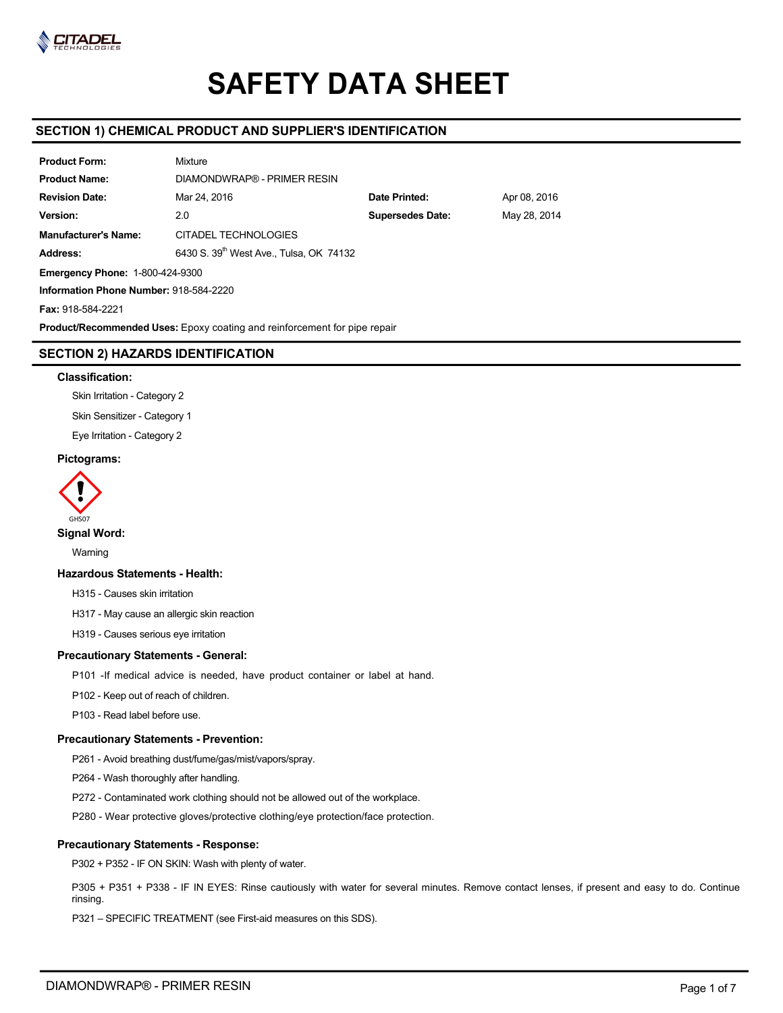

# **SAFETY DATA SHEET**

# **SECTION 1) CHEMICAL PRODUCT AND SUPPLIER'S IDENTIFICATION**

| <b>Product Form:</b>                   | <b>Mixture</b>                                      |                         |              |  |  |  |  |
|----------------------------------------|-----------------------------------------------------|-------------------------|--------------|--|--|--|--|
| <b>Product Name:</b>                   | DIAMONDWRAP® - PRIMER RESIN                         |                         |              |  |  |  |  |
| <b>Revision Date:</b>                  | Mar 24, 2016                                        | Date Printed:           | Apr 08, 2016 |  |  |  |  |
| Version:                               | 2.0                                                 | <b>Supersedes Date:</b> | May 28, 2014 |  |  |  |  |
| <b>Manufacturer's Name:</b>            | CITADEL TECHNOLOGIES                                |                         |              |  |  |  |  |
| Address:                               | 6430 S. 39 <sup>th</sup> West Ave., Tulsa, OK 74132 |                         |              |  |  |  |  |
|                                        | <b>Emergency Phone: 1-800-424-9300</b>              |                         |              |  |  |  |  |
| Information Phone Number: 918-584-2220 |                                                     |                         |              |  |  |  |  |
| Fax: 918-584-2221                      |                                                     |                         |              |  |  |  |  |

**Product/Recommended Uses:** Epoxy coating and reinforcement for pipe repair

# **SECTION 2) HAZARDS IDENTIFICATION**

# **Classification:**

Skin Irritation - Category 2

Skin Sensitizer - Category 1

Eye Irritation - Category 2

# **Pictograms:**



**Signal Word:** 

Warning

# **Hazardous Statements - Health:**

H315 - Causes skin irritation

H317 - May cause an allergic skin reaction

H319 - Causes serious eye irritation

# **Precautionary Statements - General:**

- P101 -If medical advice is needed, have product container or label at hand.
- P102 Keep out of reach of children.
- P103 Read label before use.

# **Precautionary Statements - Prevention:**

P261 - Avoid breathing dust/fume/gas/mist/vapors/spray.

P264 - Wash thoroughly after handling.

P272 - Contaminated work clothing should not be allowed out of the workplace.

P280 - Wear protective gloves/protective clothing/eye protection/face protection.

# **Precautionary Statements - Response:**

P302 + P352 - IF ON SKIN: Wash with plenty of water.

P305 + P351 + P338 - IF IN EYES: Rinse cautiously with water for several minutes. Remove contact lenses, if present and easy to do. Continue rinsing.

P321 – SPECIFIC TREATMENT (see First-aid measures on this SDS).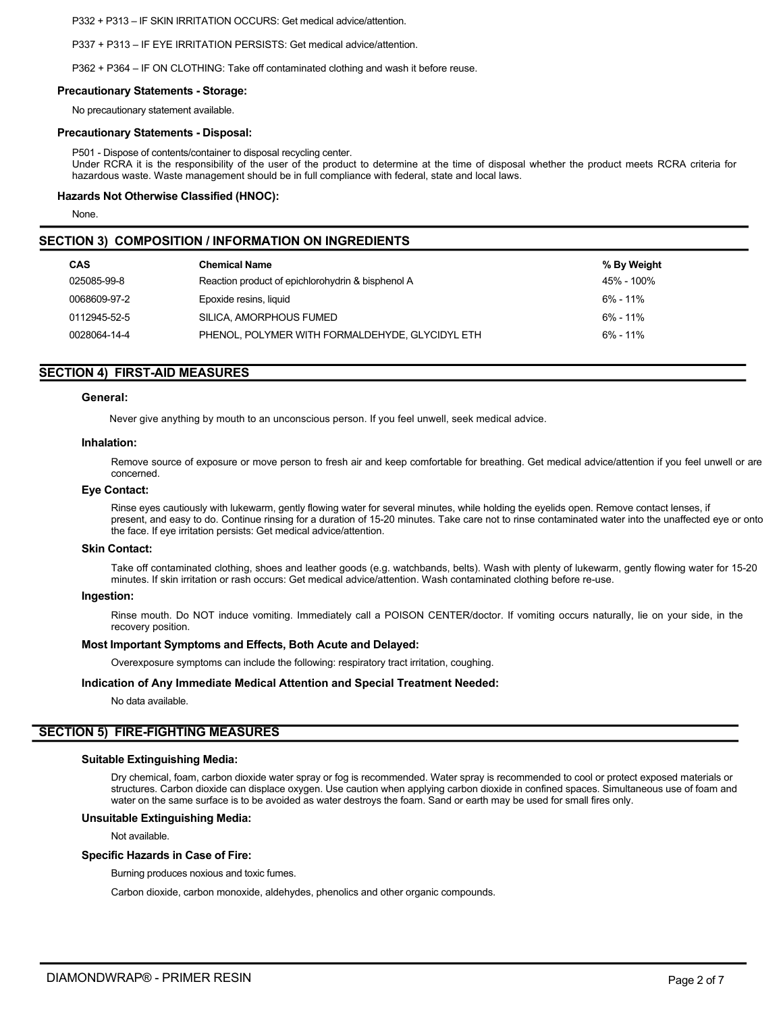P332 + P313 – IF SKIN IRRITATION OCCURS: Get medical advice/attention.

P337 + P313 – IF EYE IRRITATION PERSISTS: Get medical advice/attention.

P362 + P364 – IF ON CLOTHING: Take off contaminated clothing and wash it before reuse.

#### **Precautionary Statements - Storage:**

No precautionary statement available.

#### **Precautionary Statements - Disposal:**

P501 - Dispose of contents/container to disposal recycling center. Under RCRA it is the responsibility of the user of the product to determine at the time of disposal whether the product meets RCRA criteria for hazardous waste. Waste management should be in full compliance with federal, state and local laws.

## **Hazards Not Otherwise Classified (HNOC):**

None.

## **SECTION 3) COMPOSITION / INFORMATION ON INGREDIENTS**

| <b>CAS</b>   | <b>Chemical Name</b>                              | % By Weight  |
|--------------|---------------------------------------------------|--------------|
| 025085-99-8  | Reaction product of epichlorohydrin & bisphenol A | 45% - 100%   |
| 0068609-97-2 | Epoxide resins, liquid                            | $6\% - 11\%$ |
| 0112945-52-5 | SILICA, AMORPHOUS FUMED                           | $6\% - 11\%$ |
| 0028064-14-4 | PHENOL, POLYMER WITH FORMALDEHYDE, GLYCIDYL ETH   | $6\% - 11\%$ |

# **SECTION 4) FIRST-AID MEASURES**

## **General:**

Never give anything by mouth to an unconscious person. If you feel unwell, seek medical advice.

## **Inhalation:**

Remove source of exposure or move person to fresh air and keep comfortable for breathing. Get medical advice/attention if you feel unwell or are concerned.

## **Eye Contact:**

Rinse eyes cautiously with lukewarm, gently flowing water for several minutes, while holding the eyelids open. Remove contact lenses, if present, and easy to do. Continue rinsing for a duration of 15-20 minutes. Take care not to rinse contaminated water into the unaffected eye or onto the face. If eye irritation persists: Get medical advice/attention.

## **Skin Contact:**

Take off contaminated clothing, shoes and leather goods (e.g. watchbands, belts). Wash with plenty of lukewarm, gently flowing water for 15-20 minutes. If skin irritation or rash occurs: Get medical advice/attention. Wash contaminated clothing before re-use.

## **Ingestion:**

Rinse mouth. Do NOT induce vomiting. Immediately call a POISON CENTER/doctor. If vomiting occurs naturally, lie on your side, in the recovery position.

## **Most Important Symptoms and Effects, Both Acute and Delayed:**

Overexposure symptoms can include the following: respiratory tract irritation, coughing.

## **Indication of Any Immediate Medical Attention and Special Treatment Needed:**

No data available.

# **SECTION 5) FIRE-FIGHTING MEASURES**

#### **Suitable Extinguishing Media:**

Dry chemical, foam, carbon dioxide water spray or fog is recommended. Water spray is recommended to cool or protect exposed materials or structures. Carbon dioxide can displace oxygen. Use caution when applying carbon dioxide in confined spaces. Simultaneous use of foam and water on the same surface is to be avoided as water destroys the foam. Sand or earth may be used for small fires only.

#### **Unsuitable Extinguishing Media:**

Not available.

## **Specific Hazards in Case of Fire:**

Burning produces noxious and toxic fumes.

Carbon dioxide, carbon monoxide, aldehydes, phenolics and other organic compounds.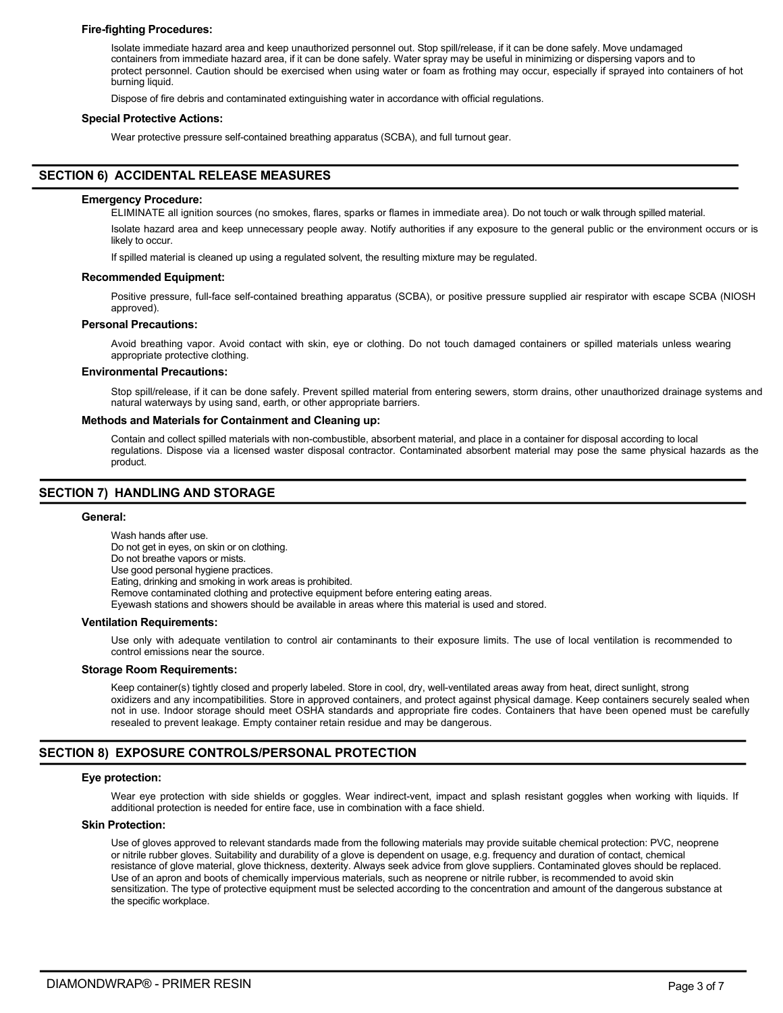## **Fire-fighting Procedures:**

Isolate immediate hazard area and keep unauthorized personnel out. Stop spill/release, if it can be done safely. Move undamaged containers from immediate hazard area, if it can be done safely. Water spray may be useful in minimizing or dispersing vapors and to protect personnel. Caution should be exercised when using water or foam as frothing may occur, especially if sprayed into containers of hot burning liquid.

Dispose of fire debris and contaminated extinguishing water in accordance with official regulations.

## **Special Protective Actions:**

Wear protective pressure self-contained breathing apparatus (SCBA), and full turnout gear.

# **SECTION 6) ACCIDENTAL RELEASE MEASURES**

## **Emergency Procedure:**

ELIMINATE all ignition sources (no smokes, flares, sparks or flames in immediate area). Do not touch or walk through spilled material.

Isolate hazard area and keep unnecessary people away. Notify authorities if any exposure to the general public or the environment occurs or is likely to occur.

If spilled material is cleaned up using a regulated solvent, the resulting mixture may be regulated.

## **Recommended Equipment:**

Positive pressure, full-face self-contained breathing apparatus (SCBA), or positive pressure supplied air respirator with escape SCBA (NIOSH approved).

#### **Personal Precautions:**

Avoid breathing vapor. Avoid contact with skin, eye or clothing. Do not touch damaged containers or spilled materials unless wearing appropriate protective clothing.

#### **Environmental Precautions:**

Stop spill/release, if it can be done safely. Prevent spilled material from entering sewers, storm drains, other unauthorized drainage systems and natural waterways by using sand, earth, or other appropriate barriers.

#### **Methods and Materials for Containment and Cleaning up:**

Contain and collect spilled materials with non-combustible, absorbent material, and place in a container for disposal according to local regulations. Dispose via a licensed waster disposal contractor. Contaminated absorbent material may pose the same physical hazards as the product.

# **SECTION 7) HANDLING AND STORAGE**

#### **General:**

Wash hands after use. Do not get in eyes, on skin or on clothing. Do not breathe vapors or mists. Use good personal hygiene practices. Eating, drinking and smoking in work areas is prohibited. Remove contaminated clothing and protective equipment before entering eating areas. Eyewash stations and showers should be available in areas where this material is used and stored.

## **Ventilation Requirements:**

Use only with adequate ventilation to control air contaminants to their exposure limits. The use of local ventilation is recommended to control emissions near the source.

## **Storage Room Requirements:**

Keep container(s) tightly closed and properly labeled. Store in cool, dry, well-ventilated areas away from heat, direct sunlight, strong oxidizers and any incompatibilities. Store in approved containers, and protect against physical damage. Keep containers securely sealed when not in use. Indoor storage should meet OSHA standards and appropriate fire codes. Containers that have been opened must be carefully resealed to prevent leakage. Empty container retain residue and may be dangerous.

# **SECTION 8) EXPOSURE CONTROLS/PERSONAL PROTECTION**

## **Eye protection:**

Wear eye protection with side shields or goggles. Wear indirect-vent, impact and splash resistant goggles when working with liquids. If additional protection is needed for entire face, use in combination with a face shield.

## **Skin Protection:**

Use of gloves approved to relevant standards made from the following materials may provide suitable chemical protection: PVC, neoprene or nitrile rubber gloves. Suitability and durability of a glove is dependent on usage, e.g. frequency and duration of contact, chemical resistance of glove material, glove thickness, dexterity. Always seek advice from glove suppliers. Contaminated gloves should be replaced. Use of an apron and boots of chemically impervious materials, such as neoprene or nitrile rubber, is recommended to avoid skin sensitization. The type of protective equipment must be selected according to the concentration and amount of the dangerous substance at the specific workplace.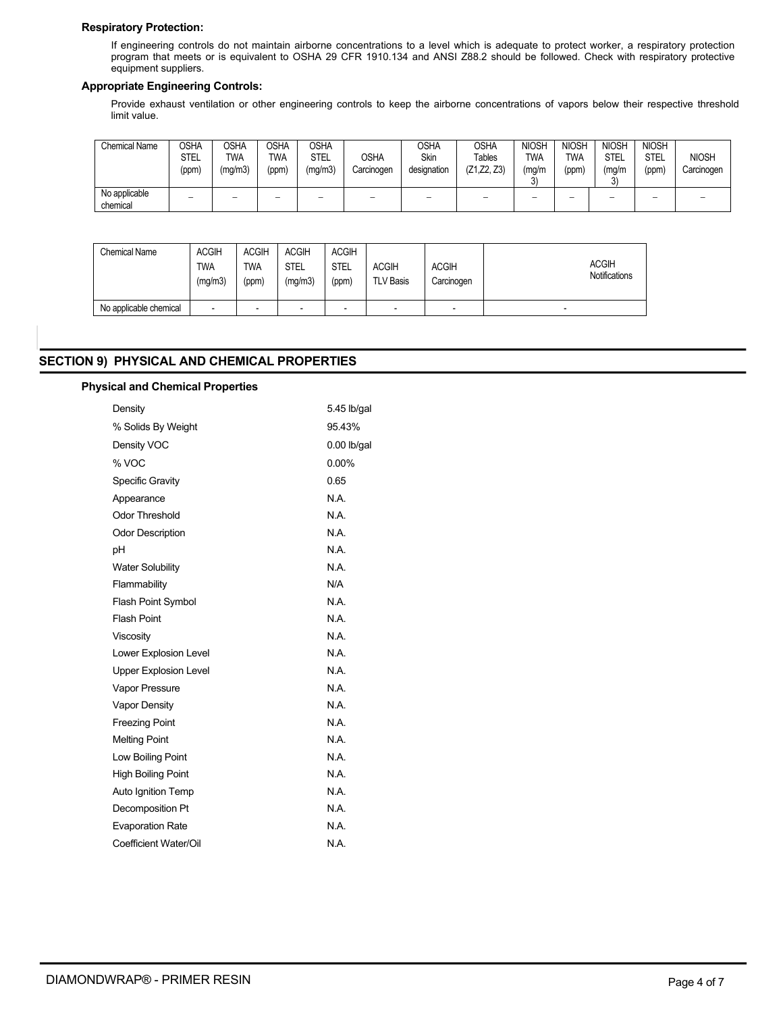# **Respiratory Protection:**

If engineering controls do not maintain airborne concentrations to a level which is adequate to protect worker, a respiratory protection program that meets or is equivalent to OSHA 29 CFR 1910.134 and ANSI Z88.2 should be followed. Check with respiratory protective equipment suppliers.

# **Appropriate Engineering Controls:**

Provide exhaust ventilation or other engineering controls to keep the airborne concentrations of vapors below their respective threshold limit value.

| <b>Chemical Name</b>      | <b>OSHA</b><br><b>STEL</b><br>(ppm) | OSHA<br><b>TWA</b><br>(mg/m3) | OSHA<br><b>TWA</b><br>(ppm) | OSHA<br>STEL<br>(mg/m3) | OSHA<br>Carcinogen       | <b>OSHA</b><br>Skin<br>designation | OSHA<br>Tables<br>(Z1, Z2, Z3) | <b>NIOSH</b><br><b>TWA</b><br>(mg/m<br>3) | <b>NIOSH</b><br><b>TWA</b><br>(ppm) | <b>NIOSH</b><br>STEL<br>(mg/m<br>へ | <b>NIOSH</b><br>STEL<br>(ppm) | <b>NIOSH</b><br>Carcinogen |
|---------------------------|-------------------------------------|-------------------------------|-----------------------------|-------------------------|--------------------------|------------------------------------|--------------------------------|-------------------------------------------|-------------------------------------|------------------------------------|-------------------------------|----------------------------|
| No applicable<br>chemical | $\overline{\phantom{a}}$            | $\overline{\phantom{a}}$      | $\overline{\phantom{a}}$    | $\sim$                  | $\overline{\phantom{a}}$ | $\overline{\phantom{a}}$           |                                | $\overline{\phantom{a}}$                  | -                                   | $\overline{\phantom{a}}$           |                               | -                          |

| <b>Chemical Name</b>   | <b>ACGIH</b><br><b>TWA</b><br>(mg/m3) | <b>ACGIH</b><br><b>TWA</b><br>(ppm) | <b>ACGIH</b><br><b>STEL</b><br>(mg/m3) | <b>ACGIH</b><br><b>STEL</b><br>(ppm) | <b>ACGIH</b><br><b>TLV Basis</b> | <b>ACGIH</b><br>Carcinogen | <b>ACGIH</b><br><b>Notifications</b> |
|------------------------|---------------------------------------|-------------------------------------|----------------------------------------|--------------------------------------|----------------------------------|----------------------------|--------------------------------------|
| No applicable chemical | -                                     | -                                   | $\overline{\phantom{0}}$               | $\overline{\phantom{0}}$             | $\blacksquare$                   | $\overline{\phantom{0}}$   | -                                    |

# **SECTION 9) PHYSICAL AND CHEMICAL PROPERTIES**

# **Physical and Chemical Properties**

| Density                      | 5.45 lb/gal |
|------------------------------|-------------|
| % Solids By Weight           | 95.43%      |
| Density VOC                  | 0.00 lb/gal |
| % VOC                        | $0.00\%$    |
| Specific Gravity             | 0.65        |
| Appearance                   | N.A.        |
| <b>Odor Threshold</b>        | N.A.        |
| <b>Odor Description</b>      | N.A.        |
| рH                           | N.A.        |
| <b>Water Solubility</b>      | N.A.        |
| Flammability                 | N/A         |
| <b>Flash Point Symbol</b>    | N.A.        |
| <b>Flash Point</b>           | N.A.        |
| Viscosity                    | N.A.        |
| Lower Explosion Level        | N.A.        |
| <b>Upper Explosion Level</b> | N.A.        |
| <b>Vapor Pressure</b>        | N.A.        |
| <b>Vapor Density</b>         | N.A.        |
| <b>Freezing Point</b>        | N.A.        |
| <b>Melting Point</b>         | N.A.        |
| Low Boiling Point            | N.A.        |
| <b>High Boiling Point</b>    | N.A.        |
| Auto Ignition Temp           | N.A.        |
| Decomposition Pt             | N.A.        |
| <b>Evaporation Rate</b>      | N.A.        |
| Coefficient Water/Oil        | N.A.        |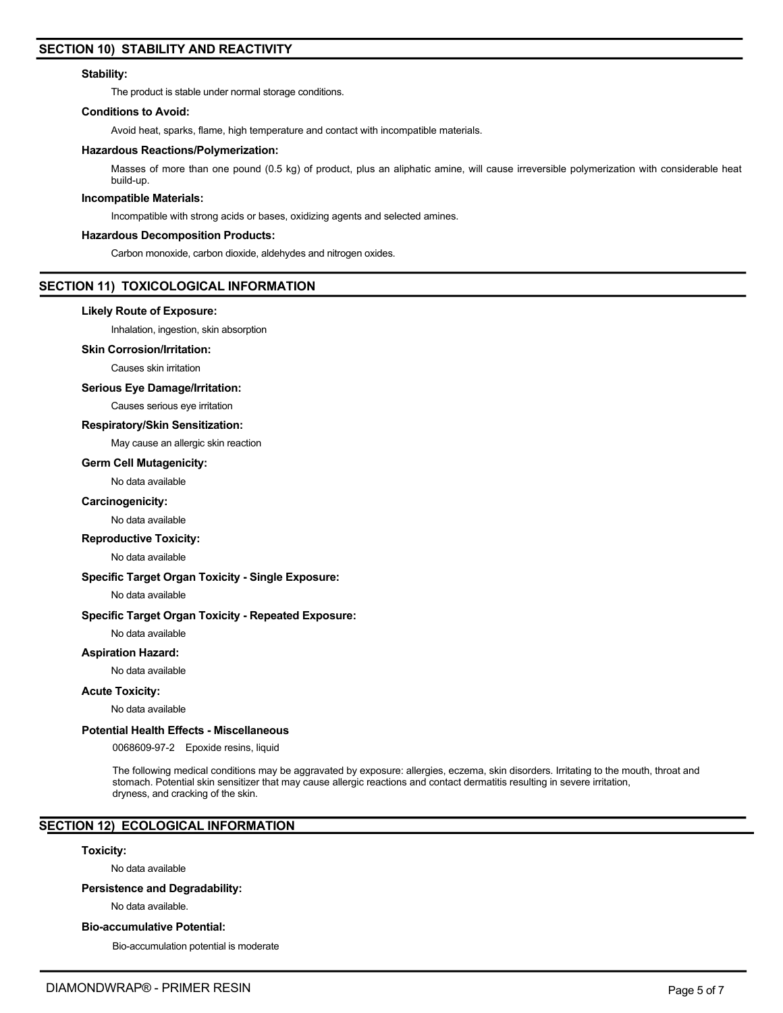# **SECTION 10) STABILITY AND REACTIVITY**

## **Stability:**

The product is stable under normal storage conditions.

# **Conditions to Avoid:**

Avoid heat, sparks, flame, high temperature and contact with incompatible materials.

## **Hazardous Reactions/Polymerization:**

Masses of more than one pound (0.5 kg) of product, plus an aliphatic amine, will cause irreversible polymerization with considerable heat build-up.

## **Incompatible Materials:**

Incompatible with strong acids or bases, oxidizing agents and selected amines.

## **Hazardous Decomposition Products:**

Carbon monoxide, carbon dioxide, aldehydes and nitrogen oxides.

# **SECTION 11) TOXICOLOGICAL INFORMATION**

## **Likely Route of Exposure:**

Inhalation, ingestion, skin absorption

# **Skin Corrosion/Irritation:**

Causes skin irritation

## **Serious Eye Damage/Irritation:**

Causes serious eye irritation

## **Respiratory/Skin Sensitization:**

May cause an allergic skin reaction

## **Germ Cell Mutagenicity:**

No data available

## **Carcinogenicity:**

No data available

## **Reproductive Toxicity:**

No data available

# **Specific Target Organ Toxicity - Single Exposure:**

No data available

# **Specific Target Organ Toxicity - Repeated Exposure:**

No data available

## **Aspiration Hazard:**

No data available

## **Acute Toxicity:**

No data available

# **Potential Health Effects - Miscellaneous**

0068609-97-2 Epoxide resins, liquid

The following medical conditions may be aggravated by exposure: allergies, eczema, skin disorders. Irritating to the mouth, throat and stomach. Potential skin sensitizer that may cause allergic reactions and contact dermatitis resulting in severe irritation, dryness, and cracking of the skin.

# **SECTION 12) ECOLOGICAL INFORMATION**

## **Toxicity:**

No data available

## **Persistence and Degradability:**

No data available.

## **Bio-accumulative Potential:**

Bio-accumulation potential is moderate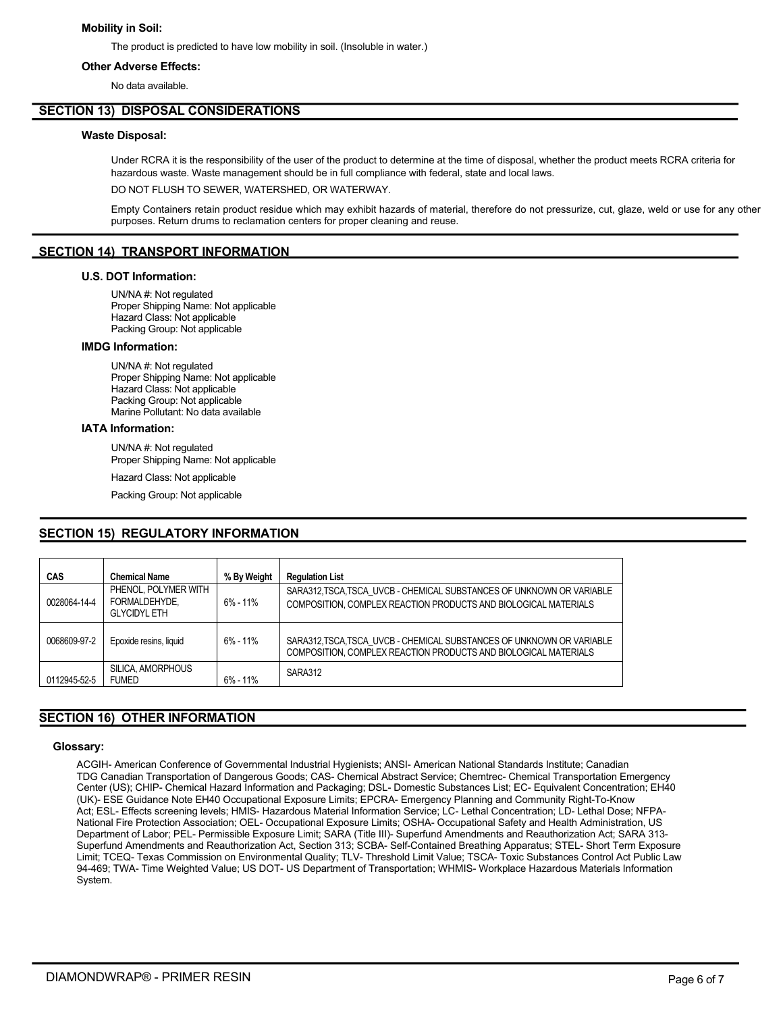# **Mobility in Soil:**

The product is predicted to have low mobility in soil. (Insoluble in water.)

# **Other Adverse Effects:**

No data available.

# **SECTION 13) DISPOSAL CONSIDERATIONS**

# **Waste Disposal:**

Under RCRA it is the responsibility of the user of the product to determine at the time of disposal, whether the product meets RCRA criteria for hazardous waste. Waste management should be in full compliance with federal, state and local laws.

DO NOT FLUSH TO SEWER, WATERSHED, OR WATERWAY.

Empty Containers retain product residue which may exhibit hazards of material, therefore do not pressurize, cut, glaze, weld or use for any other purposes. Return drums to reclamation centers for proper cleaning and reuse.

# **SECTION 14) TRANSPORT INFORMATION**

## **U.S. DOT Information:**

UN/NA #: Not regulated Proper Shipping Name: Not applicable Hazard Class: Not applicable Packing Group: Not applicable

## **IMDG Information:**

UN/NA #: Not regulated Proper Shipping Name: Not applicable Hazard Class: Not applicable Packing Group: Not applicable Marine Pollutant: No data available

# **IATA Information:**

UN/NA #: Not regulated Proper Shipping Name: Not applicable

Hazard Class: Not applicable

Packing Group: Not applicable

# **SECTION 15) REGULATORY INFORMATION**

| <b>CAS</b>   | <b>Chemical Name</b>                                         | % By Weight  | <b>Regulation List</b>                                                                                                                 |
|--------------|--------------------------------------------------------------|--------------|----------------------------------------------------------------------------------------------------------------------------------------|
| 0028064-14-4 | PHENOL, POLYMER WITH<br>FORMALDEHYDE,<br><b>GLYCIDYL ETH</b> | $6\% - 11\%$ | SARA312 TSCA TSCA UVCB - CHEMICAL SUBSTANCES OF UNKNOWN OR VARIABLE<br>COMPOSITION, COMPLEX REACTION PRODUCTS AND BIOLOGICAL MATERIALS |
| 0068609-97-2 | Epoxide resins, liquid                                       | $6\% - 11\%$ | SARA312 TSCA TSCA UVCB - CHEMICAL SUBSTANCES OF UNKNOWN OR VARIABLE<br>COMPOSITION, COMPLEX REACTION PRODUCTS AND BIOLOGICAL MATERIALS |
| 0112945-52-5 | SILICA AMORPHOUS<br><b>FUMED</b>                             | $6\% - 11\%$ | SARA312                                                                                                                                |

# **SECTION 16) OTHER INFORMATION**

## **Glossary:**

ACGIH- American Conference of Governmental Industrial Hygienists; ANSI- American National Standards Institute; Canadian TDG Canadian Transportation of Dangerous Goods; CAS- Chemical Abstract Service; Chemtrec- Chemical Transportation Emergency Center (US); CHIP- Chemical Hazard Information and Packaging; DSL- Domestic Substances List; EC- Equivalent Concentration; EH40 (UK)- ESE Guidance Note EH40 Occupational Exposure Limits; EPCRA- Emergency Planning and Community Right-To-Know Act; ESL- Effects screening levels; HMIS- Hazardous Material Information Service; LC- Lethal Concentration; LD- Lethal Dose; NFPA-National Fire Protection Association; OEL- Occupational Exposure Limits; OSHA- Occupational Safety and Health Administration, US Department of Labor; PEL- Permissible Exposure Limit; SARA (Title III)- Superfund Amendments and Reauthorization Act; SARA 313- Superfund Amendments and Reauthorization Act, Section 313; SCBA- Self-Contained Breathing Apparatus; STEL- Short Term Exposure Limit; TCEQ- Texas Commission on Environmental Quality; TLV- Threshold Limit Value; TSCA- Toxic Substances Control Act Public Law 94-469; TWA- Time Weighted Value; US DOT- US Department of Transportation; WHMIS- Workplace Hazardous Materials Information System.